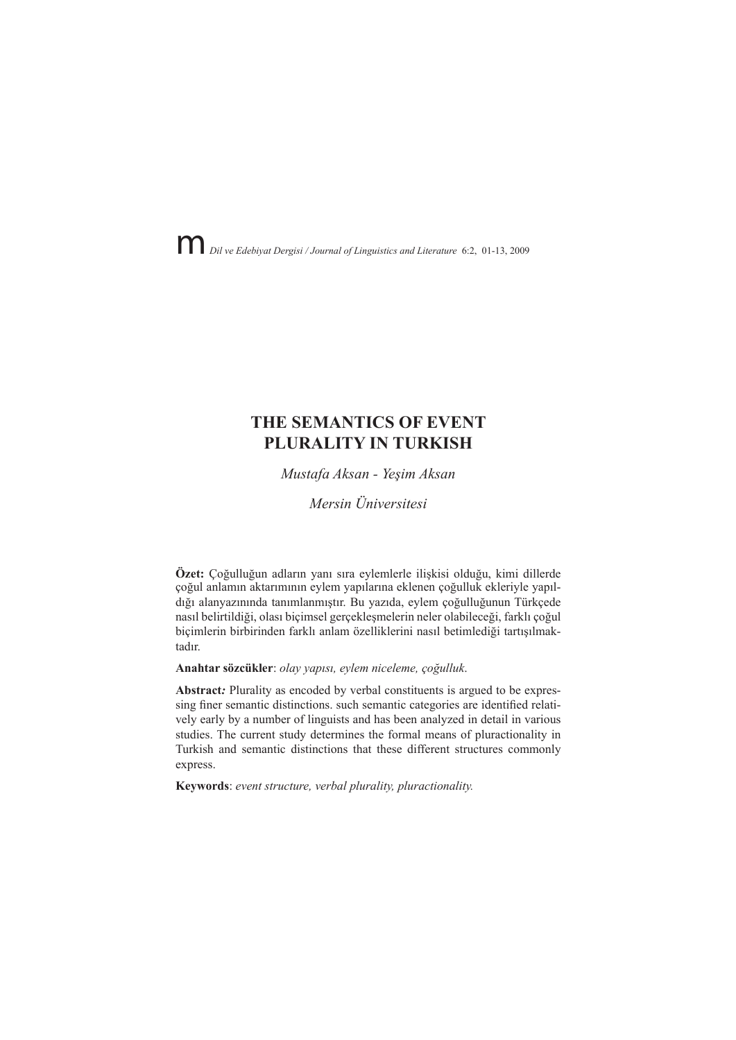Dil ve Edebiyat Dergisi / Journal of Linguistics and Literature 6:2, 01-13, 2009

# THE SEMANTICS OF EVENT PLURALITY IN TURKISH

Mustafa Aksan - Yeşim Aksan

Mersin Üniversitesi

Özet: Çoğulluğun adların yanı sıra eylemlerle ilişkisi olduğu, kimi dillerde çoğul anlamın aktarımının eylem yapılarına eklenen çoğulluk ekleriyle yapıldığı alanyazınında tanımlanmıştır. Bu yazıda, eylem çoğulluğunun Türkçede nasıl belirtildiği, olası biçimsel gerçeklesmelerin neler olabileceği, farklı çoğul bicimlerin birbirinden farklı anlam özelliklerini nasıl betimlediği tartısılmaktadır

#### Anahtar sözcükler: olay yapısı, eylem niceleme, çoğulluk.

Abstract: Plurality as encoded by verbal constituents is argued to be expressing finer semantic distinctions. such semantic categories are identified relatively early by a number of linguists and has been analyzed in detail in various studies. The current study determines the formal means of pluractionality in Turkish and semantic distinctions that these different structures commonly express.

Keywords: event structure, verbal plurality, pluractionality.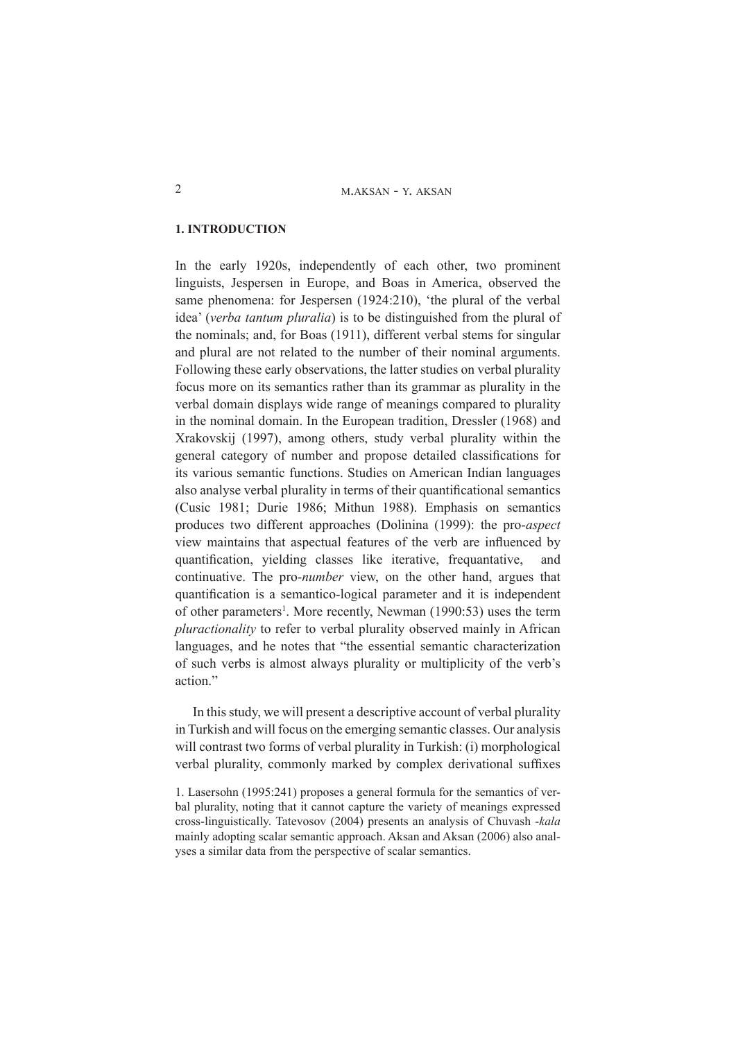#### **1. INTRODUCTION**

In the early 1920s, independently of each other, two prominent linguists, Jespersen in Europe, and Boas in America, observed the same phenomena: for Jespersen (1924:210), 'the plural of the verbal idea' (verba tantum pluralia) is to be distinguished from the plural of the nominals; and, for Boas (1911), different verbal stems for singular and plural are not related to the number of their nominal arguments. Following these early observations, the latter studies on verbal plurality focus more on its semantics rather than its grammar as plurality in the verbal domain displays wide range of meanings compared to plurality in the nominal domain. In the European tradition, Dressler (1968) and Xrakovskij (1997), among others, study verbal plurality within the general category of number and propose detailed classifications for its various semantic functions. Studies on American Indian languages also analyse verbal plurality in terms of their quantificational semantics (Cusic 1981; Durie 1986; Mithun 1988). Emphasis on semantics produces two different approaches (Dolinina (1999): the pro-aspect view maintains that aspectual features of the verb are influenced by quantification, yielding classes like iterative, frequantative, and continuative. The pro-*number* view, on the other hand, argues that quantification is a semantico-logical parameter and it is independent of other parameters<sup>1</sup>. More recently, Newman (1990:53) uses the term *pluractionality* to refer to verbal plurality observed mainly in African languages, and he notes that "the essential semantic characterization" of such verbs is almost always plurality or multiplicity of the verb's action."

In this study, we will present a descriptive account of verbal plurality in Turkish and will focus on the emerging semantic classes. Our analysis will contrast two forms of verbal plurality in Turkish: (i) morphological verbal plurality, commonly marked by complex derivational suffixes

<sup>1.</sup> Lasersohn (1995:241) proposes a general formula for the semantics of verbal plurality, noting that it cannot capture the variety of meanings expressed cross-linguistically. Tatevosov (2004) presents an analysis of Chuvash -kala mainly adopting scalar semantic approach. Aksan and Aksan (2006) also analyses a similar data from the perspective of scalar semantics.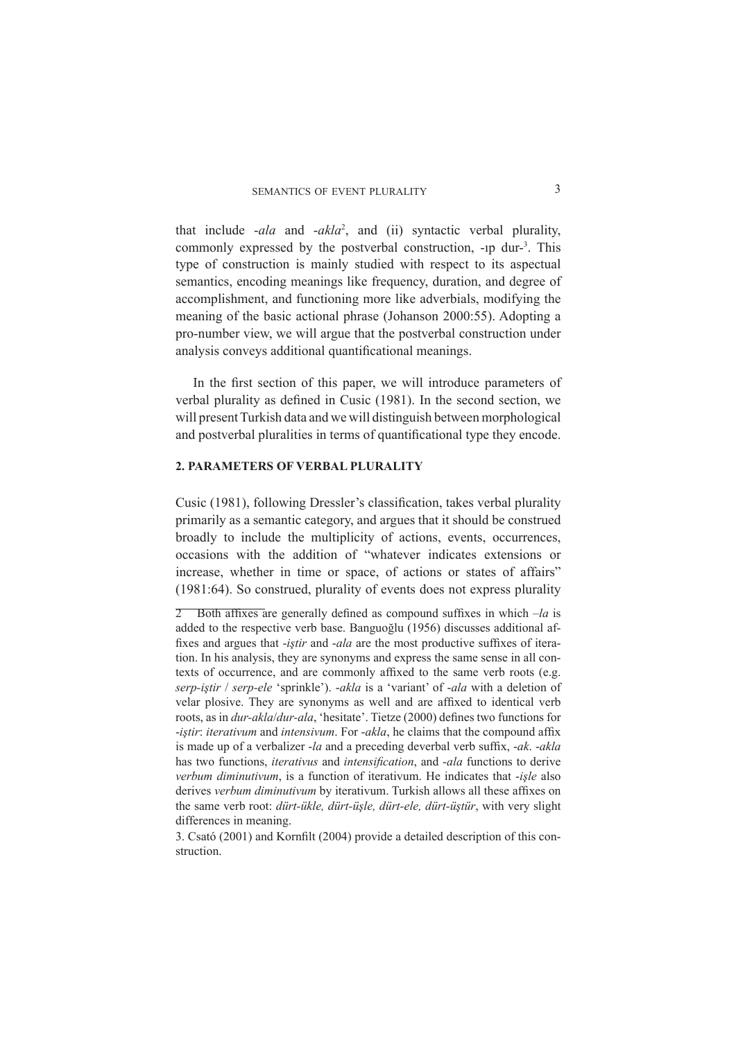that include  $-ala$  and  $-akla^2$ , and (ii) syntactic verbal plurality, commonly expressed by the postverbal construction, -1p dur-<sup>3</sup>. This type of construction is mainly studied with respect to its aspectual semantics, encoding meanings like frequency, duration, and degree of accomplishment, and functioning more like adverbials, modifying the meaning of the basic actional phrase (Johanson 2000:55). Adopting a pro-number view, we will argue that the postverbal construction under analysis conveys additional quantificational meanings.

In the first section of this paper, we will introduce parameters of verbal plurality as defined in Cusic (1981). In the second section, we will present Turkish data and we will distinguish between morphological and postverbal pluralities in terms of quantificational type they encode.

## 2. PARAMETERS OF VERBAL PLURALITY

Cusic (1981), following Dressler's classification, takes verbal plurality primarily as a semantic category, and argues that it should be construed broadly to include the multiplicity of actions, events, occurrences, occasions with the addition of "whatever indicates extensions or increase, whether in time or space, of actions or states of affairs" (1981:64). So construed, plurality of events does not express plurality

<sup>2</sup> Both affixes are generally defined as compound suffixes in which  $-la$  is added to the respective verb base. Banguoğlu (1956) discusses additional affixes and argues that *-istir* and *-ala* are the most productive suffixes of iteration. In his analysis, they are synonyms and express the same sense in all contexts of occurrence, and are commonly affixed to the same verb roots (e.g. serp-iştir / serp-ele 'sprinkle'). -akla is a 'variant' of -ala with a deletion of velar plosive. They are synonyms as well and are affixed to identical verb roots, as in *dur-akla/dur-ala*, 'hesitate'. Tietze (2000) defines two functions for -iştir: iterativum and intensivum. For -akla, he claims that the compound affix is made up of a verbalizer -la and a preceding deverbal verb suffix, -ak. -akla has two functions, *iterativus* and *intensification*, and -ala functions to derive verbum diminutivum, is a function of iterativum. He indicates that -işle also derives verbum diminutivum by iterativum. Turkish allows all these affixes on the same verb root: dürt-ükle, dürt-üşle, dürt-ele, dürt-üştür, with very slight differences in meaning.

<sup>3.</sup> Csató (2001) and Kornfilt (2004) provide a detailed description of this construction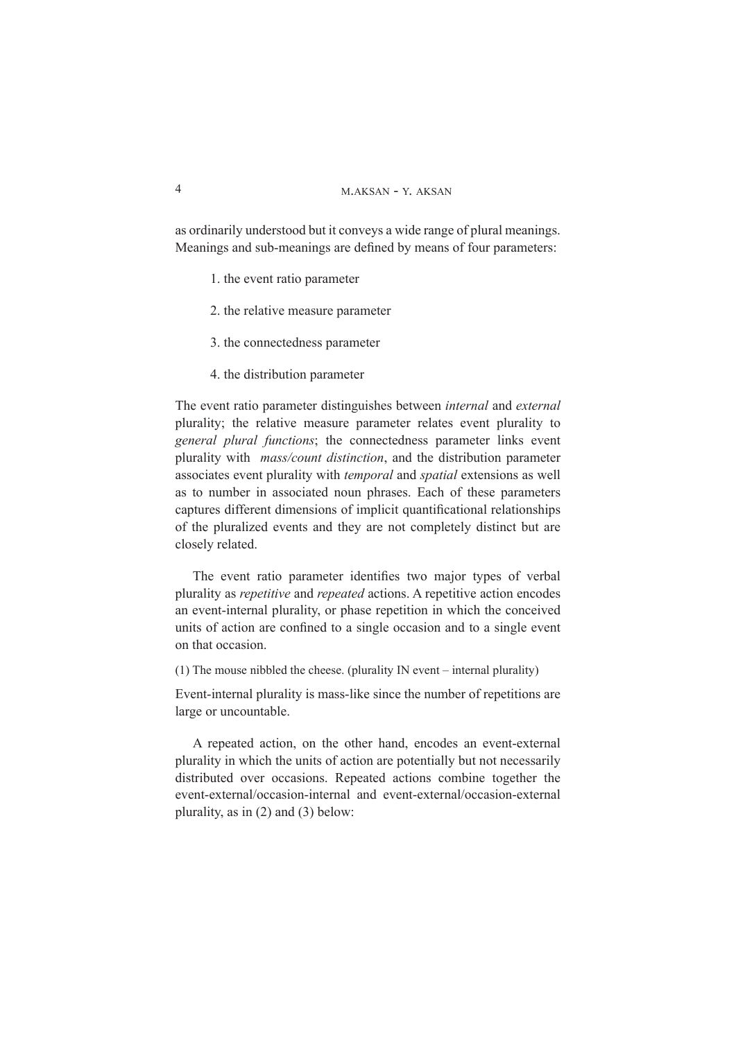as ordinarily understood but it conveys a wide range of plural meanings. Meanings and sub-meanings are defined by means of four parameters:

- 1. the event ratio parameter
- 2. the relative measure parameter
- 3. the connectedness parameter
- 4. the distribution parameter

The event ratio parameter distinguishes between *internal* and *external* plurality; the relative measure parameter relates event plurality to general plural functions; the connectedness parameter links event plurality with *mass/count distinction*, and the distribution parameter associates event plurality with *temporal* and *spatial* extensions as well as to number in associated noun phrases. Each of these parameters captures different dimensions of implicit quantificational relationships of the pluralized events and they are not completely distinct but are closely related.

The event ratio parameter identifies two major types of verbal plurality as *repetitive* and *repeated* actions. A repetitive action encodes an event-internal plurality, or phase repetition in which the conceived units of action are confined to a single occasion and to a single event on that occasion.

(1) The mouse nibbled the cheese. (plurality IN event – internal plurality)

Event-internal plurality is mass-like since the number of repetitions are large or uncountable.

A repeated action, on the other hand, encodes an event-external plurality in which the units of action are potentially but not necessarily distributed over occasions. Repeated actions combine together the event-external/occasion-internal and event-external/occasion-external plurality, as in  $(2)$  and  $(3)$  below:

 $\overline{4}$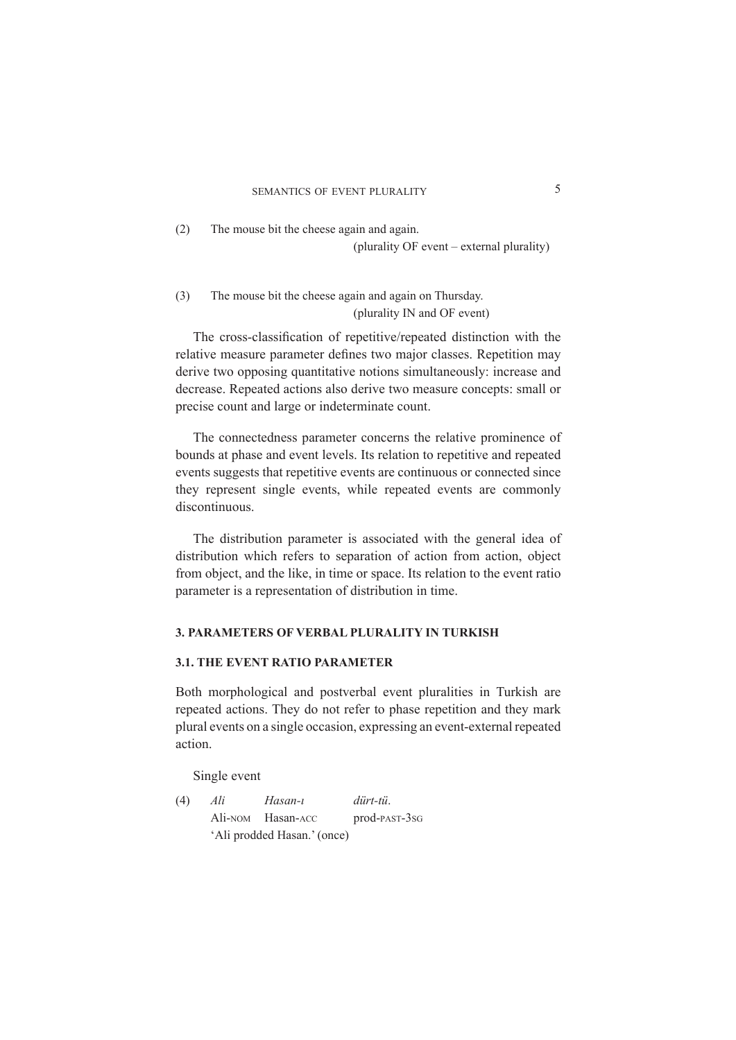$(2)$  The mouse bit the cheese again and again. (plurality OF event – external plurality)

(3) The mouse bit the cheese again and again on Thursday. (plurality IN and OF event)

The cross-classification of repetitive/repeated distinction with the relative measure parameter defines two major classes. Repetition may derive two opposing quantitative notions simultaneously: increase and decrease. Repeated actions also derive two measure concepts: small or precise count and large or indeterminate count.

The connectedness parameter concerns the relative prominence of bounds at phase and event levels. Its relation to repetitive and repeated events suggests that repetitive events are continuous or connected since they represent single events, while repeated events are commonly discontinuous

The distribution parameter is associated with the general idea of distribution which refers to separation of action from action, object from object, and the like, in time or space. Its relation to the event ratio parameter is a representation of distribution in time.

## **3. PARAMETERS OF VERBAL PLURALITY IN TURKISH**

#### **3.1. THE EVENT RATIO PARAMETER**

Both morphological and postverbal event pluralities in Turkish are repeated actions. They do not refer to phase repetition and they mark plural events on a single occasion, expressing an event-external repeated action.

Single event

*(4) Ali Hasan-1 dürt-tü.* Ali-NOM Hasan-ACC prod-PAST-3sG 'Ali prodded Hasan.' (once)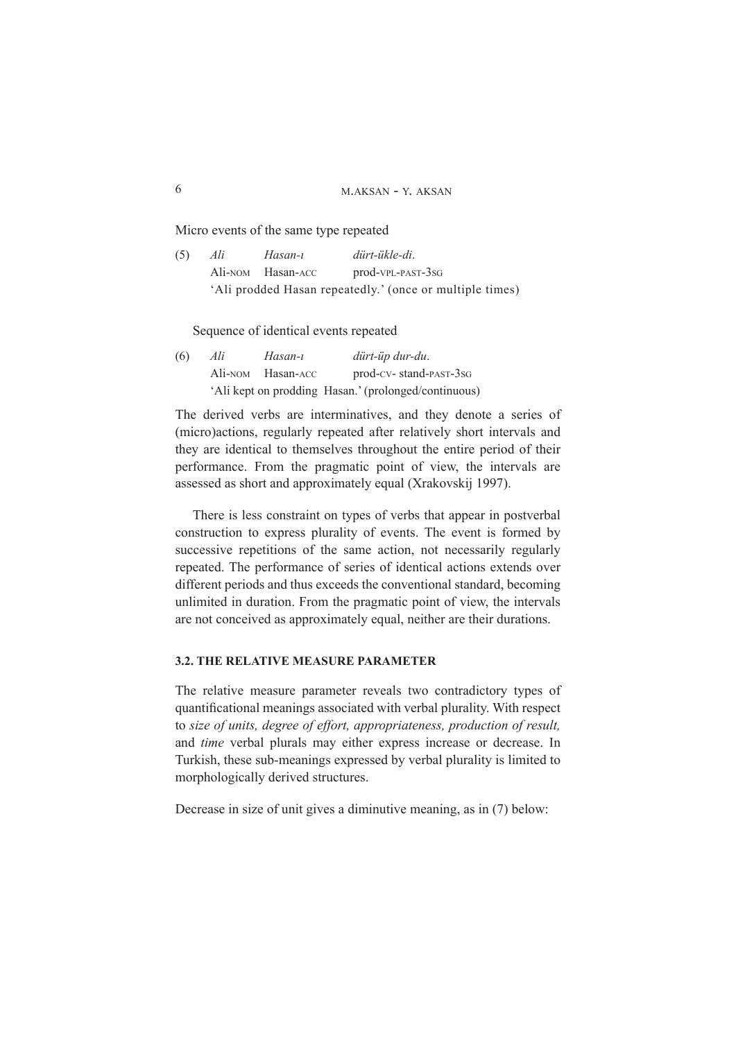Micro events of the same type repeated

| (5) | Ali                                                      | Hasan-ı           | dürt-ükle-di.     |  |
|-----|----------------------------------------------------------|-------------------|-------------------|--|
|     |                                                          | Ali-NOM Hasan-ACC | prod-VPL-PAST-3SG |  |
|     | 'Ali prodded Hasan repeatedly.' (once or multiple times) |                   |                   |  |

Sequence of identical events repeated

(6) Ali Hasan-ı dürt-üp dur-du. Ali-NOM Hasan-ACC prod-CV- stand-PAST-3sG 'Ali kept on prodding Hasan.' (prolonged/continuous)

The derived verbs are interminatives, and they denote a series of (micro)actions, regularly repeated after relatively short intervals and they are identical to themselves throughout the entire period of their performance. From the pragmatic point of view, the intervals are assessed as short and approximately equal (Xrakovskij 1997).

There is less constraint on types of verbs that appear in postverbal construction to express plurality of events. The event is formed by successive repetitions of the same action, not necessarily regularly repeated. The performance of series of identical actions extends over different periods and thus exceeds the conventional standard, becoming unlimited in duration. From the pragmatic point of view, the intervals are not conceived as approximately equal, neither are their durations.

#### **3.2. THE RELATIVE MEASURE PARAMETER**

The relative measure parameter reveals two contradictory types of quantificational meanings associated with verbal plurality. With respect to size of units, degree of effort, appropriateness, production of result, and time verbal plurals may either express increase or decrease. In Turkish, these sub-meanings expressed by verbal plurality is limited to morphologically derived structures.

Decrease in size of unit gives a diminutive meaning, as in  $(7)$  below: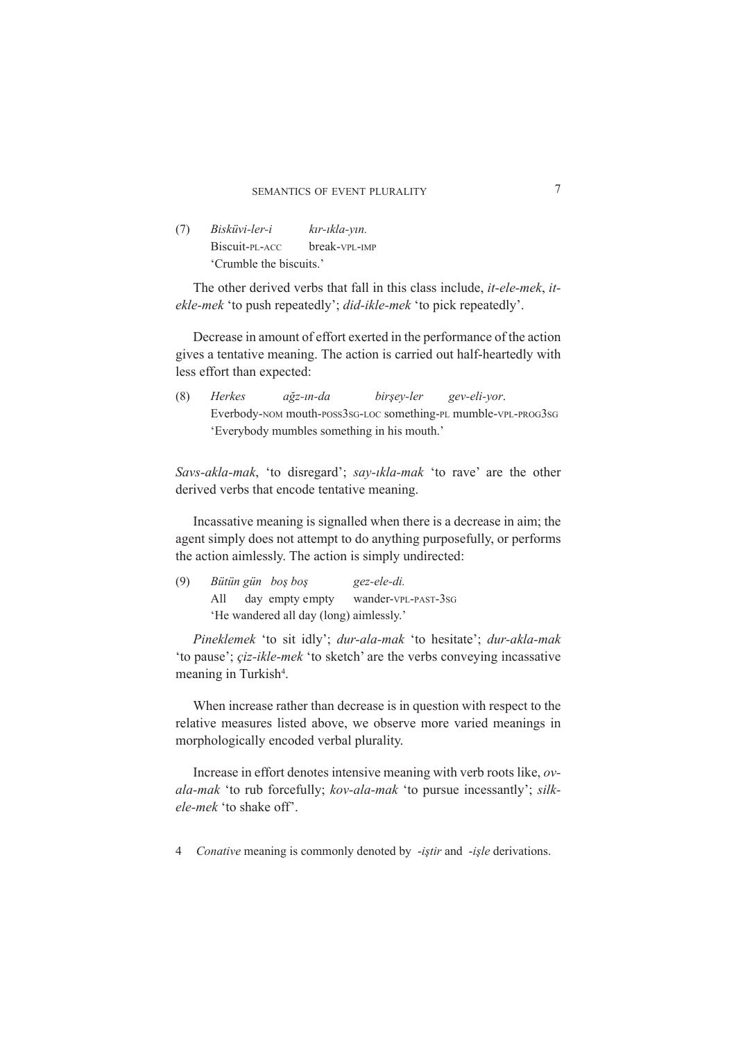| (7) | Bisküvi-ler-i           | kır-ıkla-yın. |  |
|-----|-------------------------|---------------|--|
|     | Biscuit-PL-ACC          | break-VPL-IMP |  |
|     | 'Crumble the biscuits.' |               |  |

The other derived verbs that fall in this class include, *it-ele-mek*, *it*ekle-mek 'to push repeatedly'; did-ikle-mek 'to pick repeatedly'.

Decrease in amount of effort exerted in the performance of the action gives a tentative meaning. The action is carried out half-heartedly with less effort than expected:

 $(8)$ Herkes birşey-ler gev-eli-yor. ağz-ın-da Everbody-NOM mouth-POSS3sG-LOC something-PL mumble-VPL-PROG3sG 'Everybody mumbles something in his mouth.'

Savs-akla-mak, 'to disregard'; say-ikla-mak 'to rave' are the other derived verbs that encode tentative meaning.

In assative meaning is signalled when there is a decrease in aim; the agent simply does not attempt to do anything purposefully, or performs the action aimlessly. The action is simply undirected:

| (9) |                                         |  | Bütün gün boş boş | gez-ele-di.         |  |
|-----|-----------------------------------------|--|-------------------|---------------------|--|
|     | All                                     |  | day empty empty   | wander-vpL-past-3sg |  |
|     | 'He wandered all day (long) aimlessly.' |  |                   |                     |  |

Pineklemek 'to sit idly'; dur-ala-mak 'to hesitate'; dur-akla-mak 'to pause'; *ciz-ikle-mek* 'to sketch' are the verbs conveying incassative meaning in Turkish<sup>4</sup>.

When increase rather than decrease is in question with respect to the relative measures listed above, we observe more varied meanings in morphologically encoded verbal plurality.

Increase in effort denotes intensive meaning with verb roots like, ovala-mak 'to rub forcefully; kov-ala-mak 'to pursue incessantly'; silkele-mek 'to shake off'.

4 Conative meaning is commonly denoted by -iştir and -işle derivations.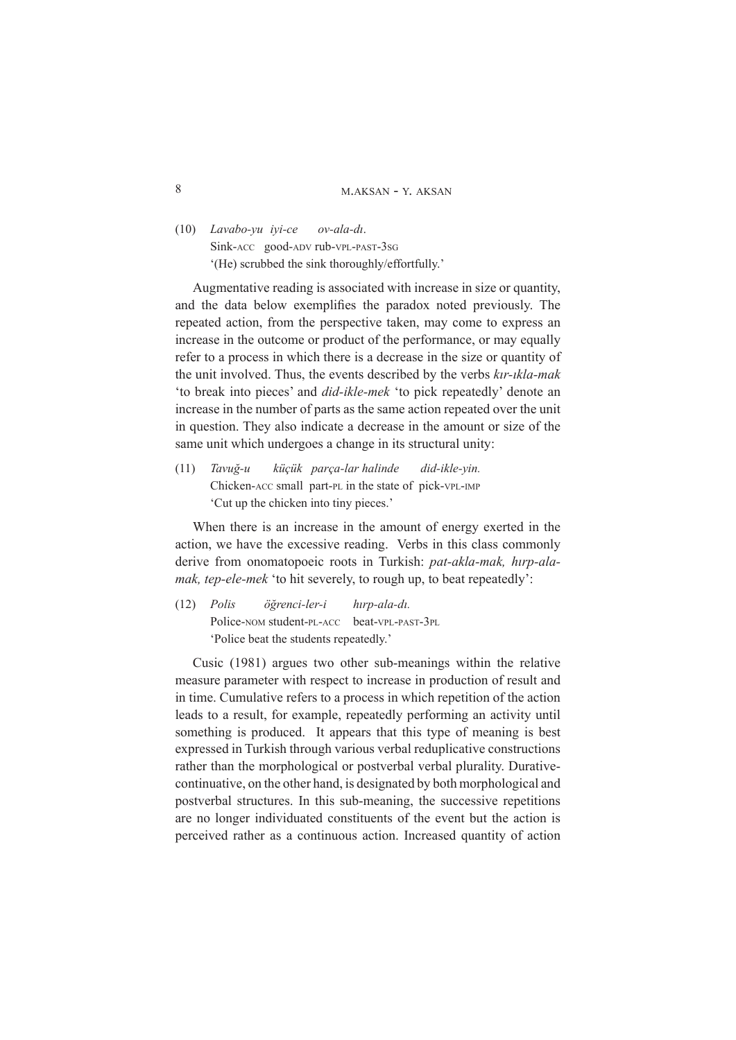8 M.AKSAN - Y. AKSAN

*(10) Lavabo-yu iyi-ce ov-ala-di.* Sink-ACC good-ADV rub-VPL-PAST-3sG

 $'(He)$  scrubbed the sink thoroughly/effortfully.'

Augmentative reading is associated with increase in size or quantity, and the data below exemplifies the paradox noted previously. The repeated action, from the perspective taken, may come to express an increase in the outcome or product of the performance, or may equally refer to a process in which there is a decrease in the size or quantity of the unit involved. Thus, the events described by the verbs  $k\ddot{x}$ -*ikla-mak* 'to break into pieces' and *did-ikle-mek* 'to pick repeatedly' denote an increase in the number of parts as the same action repeated over the unit in question. They also indicate a decrease in the amount or size of the same unit which undergoes a change in its structural unity:

 $(11)$ *Tavuğ-u* küçük parça-lar halinde did-ikle-yin. Chicken-ACC small part-PL in the state of pick-VPL-IMP Cut up the chicken into tiny pieces.'

When there is an increase in the amount of energy exerted in the action, we have the excessive reading. Verbs in this class commonly derive from onomatopoeic roots in Turkish: pat-akla-mak. hirp-ala*mak, tep-ele-mek* 'to hit severely, to rough up, to beat repeatedly':

 $(12)$  Polis  $\ddot{\rho}$  *z z axistenci-ler-i htm-ala-di* Police-NOM student-PL-ACC beat-VPL-PAST-3PL 'Police beat the students repeatedly.'

Cusic (1981) argues two other sub-meanings within the relative measure parameter with respect to increase in production of result and in time. Cumulative refers to a process in which repetition of the action leads to a result, for example, repeatedly performing an activity until something is produced. It appears that this type of meaning is best expressed in Turkish through various verbal reduplicative constructions rather than the morphological or postverbal verbal plurality. Durativecontinuative, on the other hand, is designated by both morphological and postverbal structures. In this sub-meaning, the successive repetitions are no longer individuated constituents of the event but the action is perceived rather as a continuous action. Increased quantity of action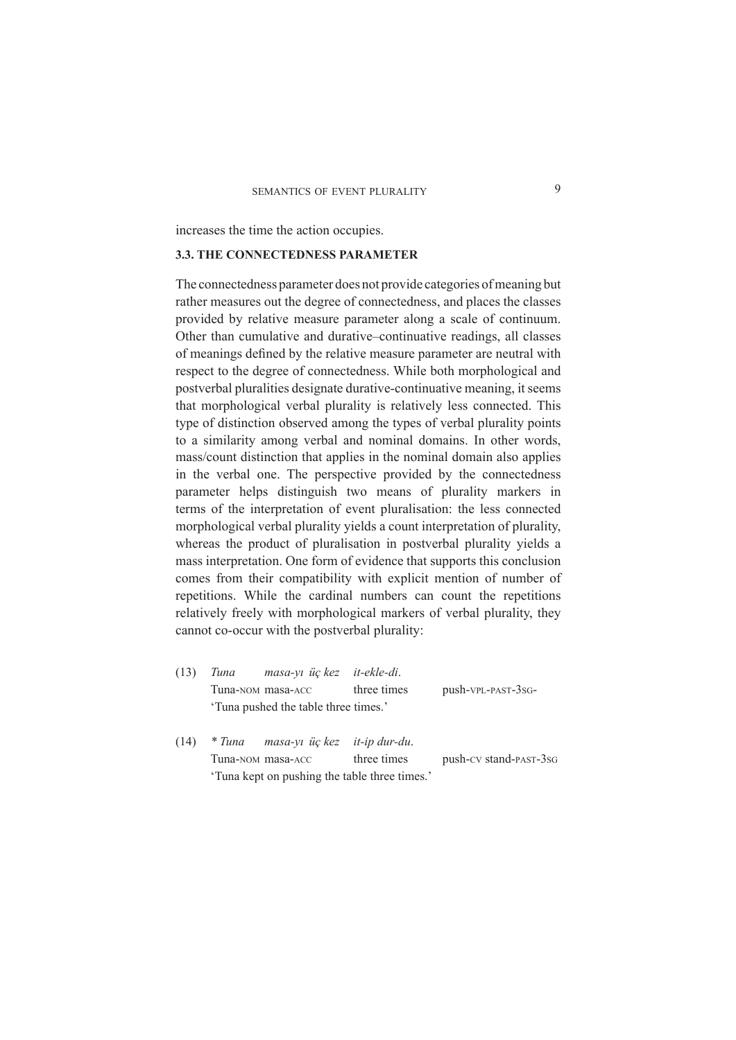increases the time the action occupies.

# **3.3. THE CONNECTEDNESS PARAMETER**

The connectedness parameter does not provide categories of meaning but rather measures out the degree of connectedness, and places the classes provided by relative measure parameter along a scale of continuum. Other than cumulative and durative-continuative readings, all classes of meanings defined by the relative measure parameter are neutral with respect to the degree of connectedness. While both morphological and postverbal pluralities designate durative-continuative meaning, it seems that morphological verbal plurality is relatively less connected. This type of distinction observed among the types of verbal plurality points to a similarity among verbal and nominal domains. In other words, mass/count distinction that applies in the nominal domain also applies in the verbal one. The perspective provided by the connectedness parameter helps distinguish two means of plurality markers in terms of the interpretation of event pluralisation: the less connected morphological verbal plurality yields a count interpretation of plurality, whereas the product of pluralisation in postverbal plurality yields a mass interpretation. One form of evidence that supports this conclusion comes from their compatibility with explicit mention of number of repetitions. While the cardinal numbers can count the repetitions relatively freely with morphological markers of verbal plurality, they cannot co-occur with the postverbal plurality:

| (13)               | Tuna masa-yi üç kez it-ekle-di.     |             |                    |
|--------------------|-------------------------------------|-------------|--------------------|
|                    | Tuna-NOM masa-ACC                   | three times | push-VPL-PAST-3sG- |
|                    | Tuna pushed the table three times.' |             |                    |
|                    |                                     |             |                    |
| $(14)$ $\sqrt{17}$ |                                     |             |                    |

 $(14)$  $*$  Tuna masa-vi üc kez it-ip dur-du. push-cv stand-past-3sG Tuna-NOM masa-ACC three times 'Tuna kept on pushing the table three times.'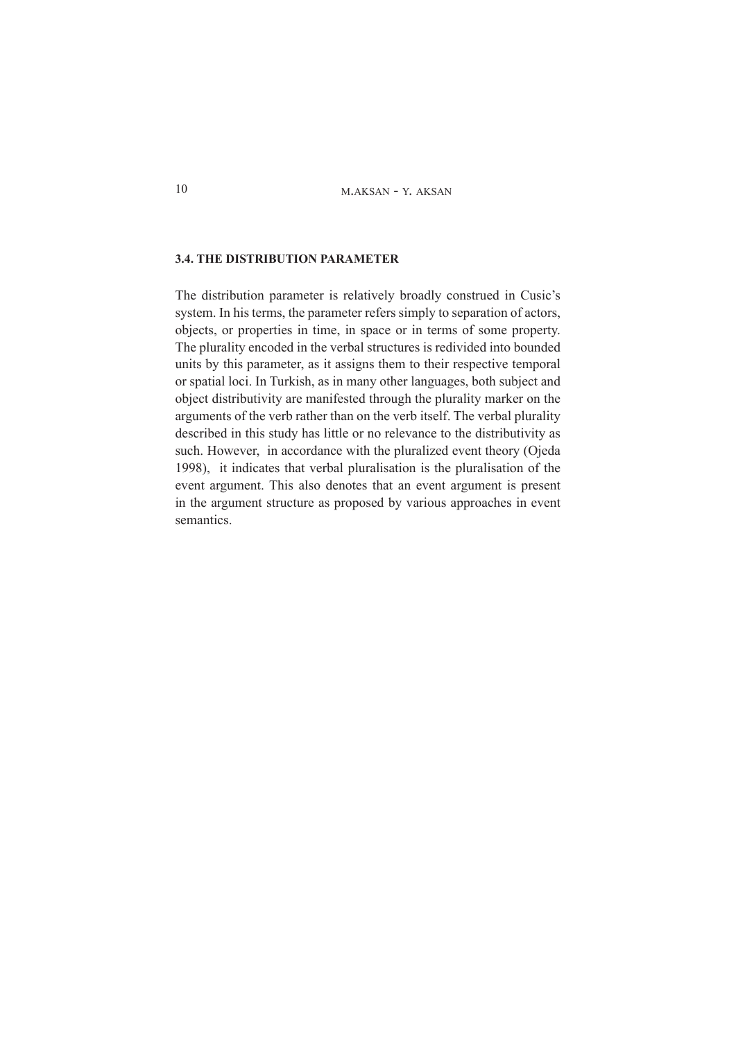#### 3.4. THE DISTRIBUTION PARAMETER

The distribution parameter is relatively broadly construed in Cusic's system. In his terms, the parameter refers simply to separation of actors, objects, or properties in time, in space or in terms of some property. The plurality encoded in the verbal structures is redivided into bounded units by this parameter, as it assigns them to their respective temporal or spatial loci. In Turkish, as in many other languages, both subject and object distributivity are manifested through the plurality marker on the arguments of the verb rather than on the verb itself. The verbal plurality described in this study has little or no relevance to the distributivity as such. However, in accordance with the pluralized event theory (Ojeda 1998), it indicates that verbal pluralisation is the pluralisation of the event argument. This also denotes that an event argument is present in the argument structure as proposed by various approaches in event semantics.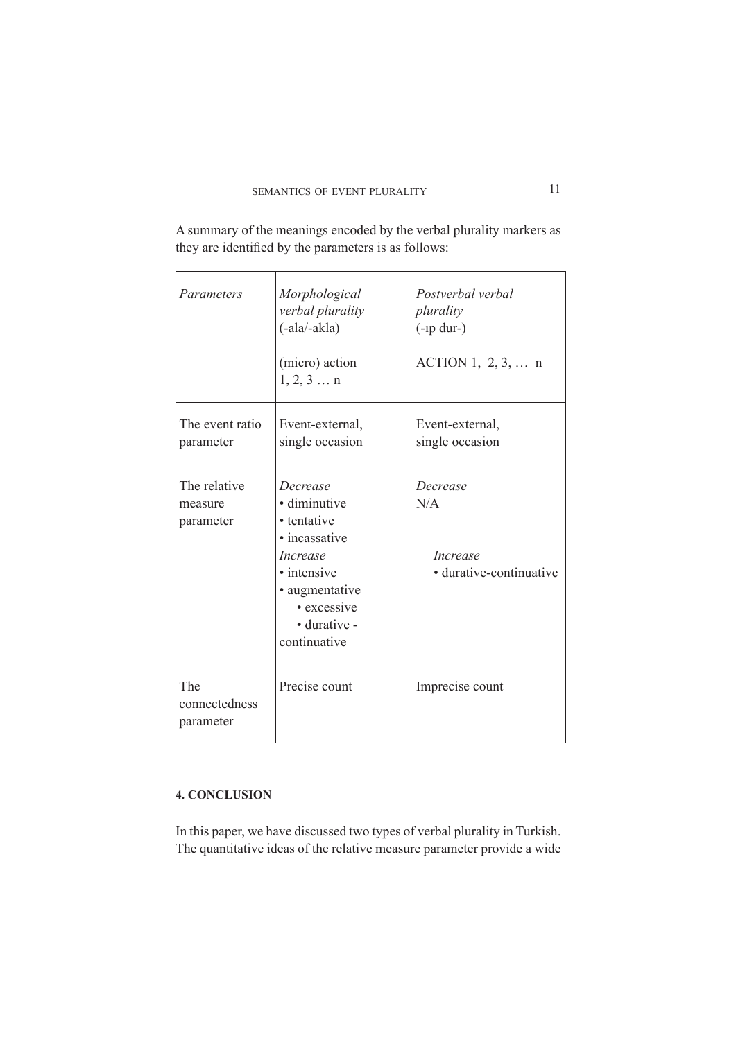they are identified by the parameters is as follows: Morphological Postverbal verbal Parameters verbal plurality plurality

A summary of the meanings encoded by the verbal plurality markers as

|                                      | $(-ala/-akla)$                                                                                                                                       | $(-np \, dur-)$                                               |
|--------------------------------------|------------------------------------------------------------------------------------------------------------------------------------------------------|---------------------------------------------------------------|
|                                      | (micro) action<br>1, 2, 3  n                                                                                                                         | ACTION 1, $2, 3, $ n                                          |
| The event ratio<br>parameter         | Event-external,<br>single occasion                                                                                                                   | Event-external,<br>single occasion                            |
| The relative<br>measure<br>parameter | Decrease<br>· diminutive<br>• tentative<br>• incassative<br>Increase<br>• intensive<br>• augmentative<br>• excessive<br>• durative -<br>continuative | Decrease<br>N/A<br><i>Increase</i><br>• durative-continuative |
| The<br>connectedness<br>parameter    | Precise count                                                                                                                                        | Imprecise count                                               |

# **4. CONCLUSION**

In this paper, we have discussed two types of verbal plurality in Turkish. The quantitative ideas of the relative measure parameter provide a wide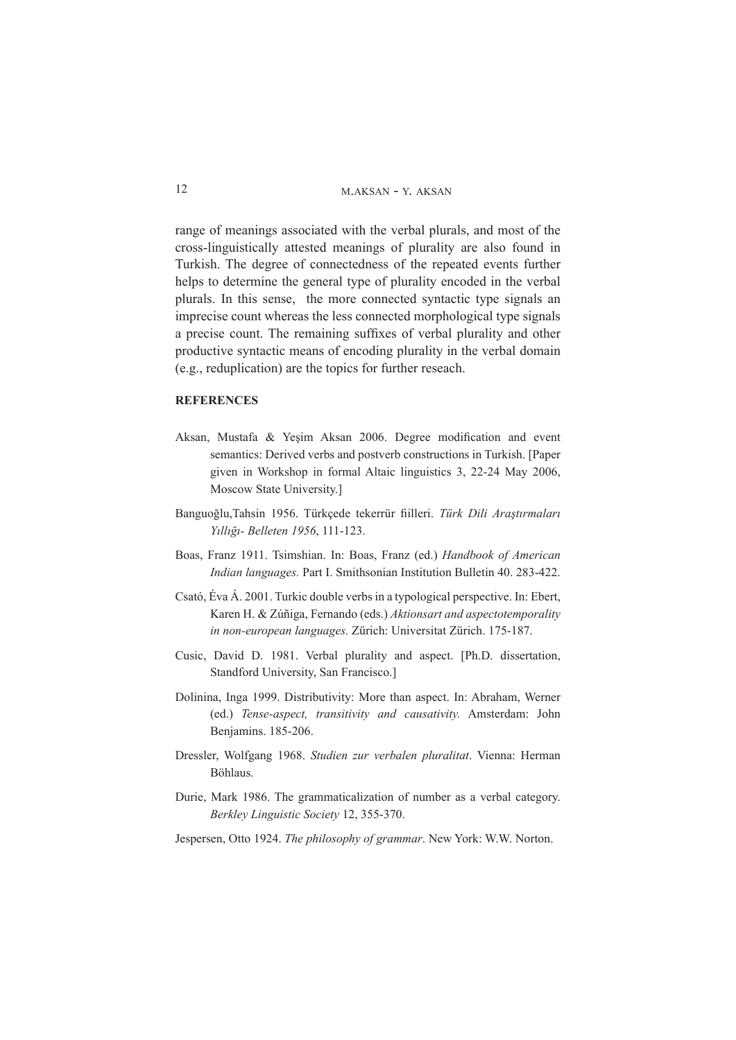range of meanings associated with the verbal plurals, and most of the cross-linguistically attested meanings of plurality are also found in Turkish. The degree of connectedness of the repeated events further helps to determine the general type of plurality encoded in the verbal plurals. In this sense, the more connected syntactic type signals an imprecise count whereas the less connected morphological type signals a precise count. The remaining suffixes of verbal plurality and other productive syntactic means of encoding plurality in the verbal domain (e.g., reduplication) are the topics for further reseach.

#### **REFERENCES**

- Aksan, Mustafa & Yeşim Aksan 2006. Degree modification and event semantics: Derived verbs and postverb constructions in Turkish. [Paper given in Workshop in formal Altaic linguistics  $3, 22-24$  May 2006, Moscow State University.]
- Banguoğlu, Tahsin 1956. Türkçede tekerrür fiilleri. Türk Dili Araştırmaları Yıllığı- Belleten 1956, 111-123.
- Boas, Franz 1911. Tsimshian. In: Boas, Franz (ed.) Handbook of American *Indian languages. Part I. Smithsonian Institution Bulletin 40. 283-422.*
- Csató, Eva A. 2001. Turkic double verbs in a typological perspective. In: Ebert, Karen H. & Zúñiga, Fernando (eds.) Aktionsart and aspectotemporality in non-european languages. Zürich: Universitat Zürich. 175-187.
- Cusic, David D. 1981. Verbal plurality and aspect. [Ph.D. dissertation, Standford University, San Francisco.]
- Dolinina, Inga 1999. Distributivity: More than aspect. In: Abraham, Werner (ed.) Tense-aspect, transitivity and causativity. Amsterdam: John Benjamins. 185-206.
- Dressler, Wolfgang 1968. Studien zur verbalen pluralitat. Vienna: Herman Böhlaus.
- Durie, Mark 1986. The grammaticalization of number as a verbal category. *Berkley Linguistic Society* 12, 355-370.
- Jespersen, Otto 1924. The philosophy of grammar. New York: W.W. Norton.